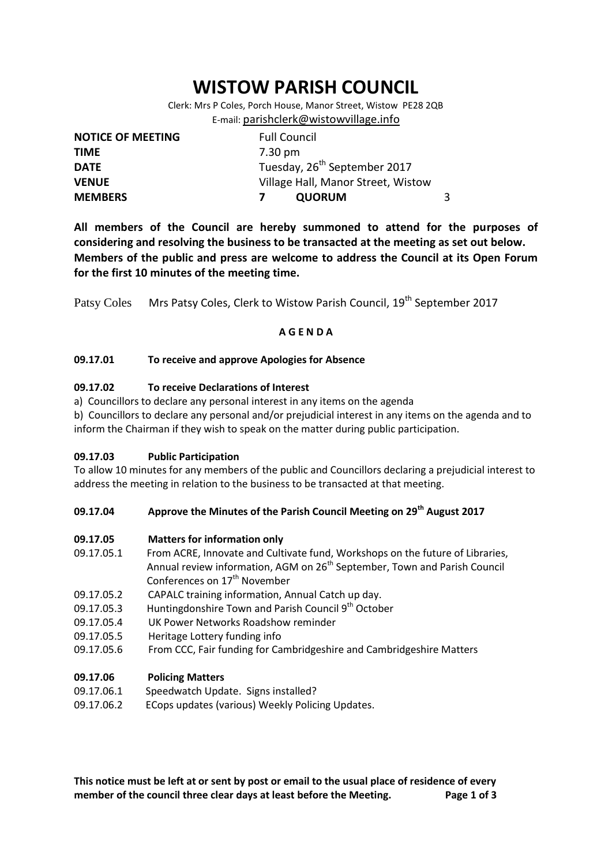# **WISTOW PARISH COUNCIL**

Clerk: Mrs P Coles, Porch House, Manor Street, Wistow PE28 2QB E-mail: [parishclerk@wistowvillage.info](mailto:parishclerk@wistowvillage.info)

| <b>NOTICE OF MEETING</b> | <b>Full Council</b>                      |   |
|--------------------------|------------------------------------------|---|
| <b>TIME</b>              | 7.30 pm                                  |   |
| <b>DATE</b>              | Tuesday, 26 <sup>th</sup> September 2017 |   |
| <b>VENUE</b>             | Village Hall, Manor Street, Wistow       |   |
| <b>MEMBERS</b>           | <b>QUORUM</b>                            | 3 |

**All members of the Council are hereby summoned to attend for the purposes of considering and resolving the business to be transacted at the meeting as set out below. Members of the public and press are welcome to address the Council at its Open Forum for the first 10 minutes of the meeting time.**

Patsy Coles Mrs Patsy Coles, Clerk to Wistow Parish Council, 19<sup>th</sup> September 2017

## **A G E N D A**

## **09.17.01 To receive and approve Apologies for Absence**

## **09.17.02 To receive Declarations of Interest**

a) Councillors to declare any personal interest in any items on the agenda

b) Councillors to declare any personal and/or prejudicial interest in any items on the agenda and to inform the Chairman if they wish to speak on the matter during public participation.

## **09.17.03 Public Participation**

To allow 10 minutes for any members of the public and Councillors declaring a prejudicial interest to address the meeting in relation to the business to be transacted at that meeting.

## **09.17.04 Approve the Minutes of the Parish Council Meeting on 29th August 2017**

## **09.17.05 Matters for information only**

- 09.17.05.1 From ACRE, Innovate and Cultivate fund, Workshops on the future of Libraries, Annual review information, AGM on 26<sup>th</sup> September, Town and Parish Council Conferences on 17<sup>th</sup> November
- 09.17.05.2 CAPALC training information, Annual Catch up day.
- 09.17.05.3 Huntingdonshire Town and Parish Council 9<sup>th</sup> October
- 09.17.05.4 UK Power Networks Roadshow reminder
- 09.17.05.5 Heritage Lottery funding info
- 09.17.05.6 From CCC, Fair funding for Cambridgeshire and Cambridgeshire Matters

## **09.17.06 Policing Matters**

- 09.17.06.1 Speedwatch Update. Signs installed?
- 09.17.06.2 ECops updates (various) Weekly Policing Updates.

**This notice must be left at or sent by post or email to the usual place of residence of every member of the council three clear days at least before the Meeting. Page 1 of 3**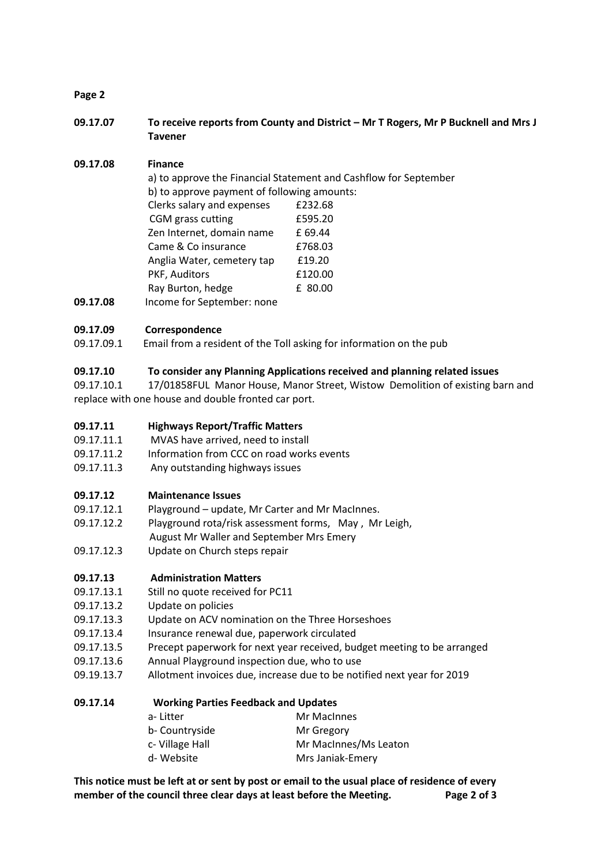## **Page 2**

**09.17.07 To receive reports from County and District – Mr T Rogers, Mr P Bucknell and Mrs J Tavener**

## **09.17.08 Finance**

|          |                                             | a) to approve the Financial Statement and Cashflow for September |
|----------|---------------------------------------------|------------------------------------------------------------------|
|          | b) to approve payment of following amounts: |                                                                  |
|          | Clerks salary and expenses                  | £232.68                                                          |
|          | CGM grass cutting                           | £595.20                                                          |
|          | Zen Internet, domain name                   | £ 69.44                                                          |
|          | Came & Co insurance                         | £768.03                                                          |
|          | Anglia Water, cemetery tap                  | £19.20                                                           |
|          | PKF, Auditors                               | £120.00                                                          |
|          | Ray Burton, hedge                           | £ 80.00                                                          |
| 09.17.08 | Income for September: none                  |                                                                  |

## **09.17.09 Correspondence**

09.17.09.1 Email from a resident of the Toll asking for information on the pub

## **09.17.10 To consider any Planning Applications received and planning related issues**

09.17.10.1 17/01858FUL Manor House, Manor Street, Wistow Demolition of existing barn and replace with one house and double fronted car port.

## **09.17.11 Highways Report/Traffic Matters**

- 09.17.11.1 MVAS have arrived, need to install
- 09.17.11.2 Information from CCC on road works events
- 09.17.11.3 Any outstanding highways issues

## **09.17.12 Maintenance Issues**

- 09.17.12.1 Playground update, Mr Carter and Mr MacInnes.
- 09.17.12.2 Playground rota/risk assessment forms, May , Mr Leigh,
- August Mr Waller and September Mrs Emery
- 09.17.12.3 Update on Church steps repair

## **09.17.13 Administration Matters**

- 09.17.13.1 Still no quote received for PC11
- 09.17.13.2 Update on policies
- 09.17.13.3 Update on ACV nomination on the Three Horseshoes
- 09.17.13.4 Insurance renewal due, paperwork circulated
- 09.17.13.5 Precept paperwork for next year received, budget meeting to be arranged
- 09.17.13.6 Annual Playground inspection due, who to use
- 09.19.13.7 Allotment invoices due, increase due to be notified next year for 2019

## **09.17.14 Working Parties Feedback and Updates**

| a-Litter        | Mr MacInnes           |
|-----------------|-----------------------|
| b- Countryside  | Mr Gregory            |
| c- Village Hall | Mr MacInnes/Ms Leaton |
| d- Website      | Mrs Janiak-Emery      |

**This notice must be left at or sent by post or email to the usual place of residence of every member of the council three clear days at least before the Meeting. Page 2 of 3**